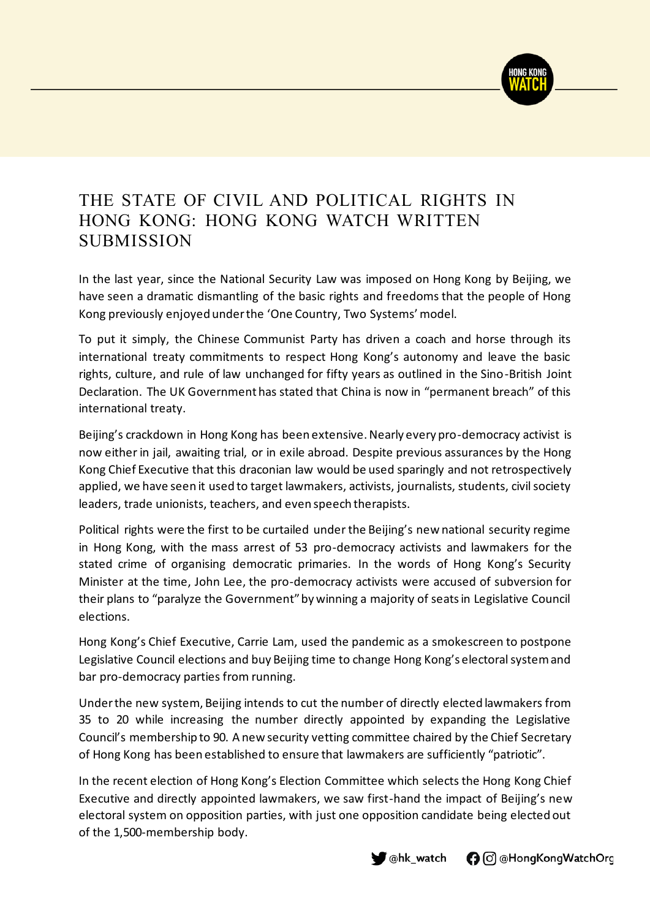

## THE STATE OF CIVIL AND POLITICAL RIGHTS IN HONG KONG: HONG KONG WATCH WRITTEN SUBMISSION

In the last year, since the National Security Law was imposed on Hong Kong by Beijing, we have seen a dramatic dismantling of the basic rights and freedoms that the people of Hong Kong previously enjoyed under the 'One Country, Two Systems' model.

To put it simply, the Chinese Communist Party has driven a coach and horse through its international treaty commitments to respect Hong Kong's autonomy and leave the basic rights, culture, and rule of law unchanged for fifty years as outlined in the Sino-British Joint Declaration. The UK Government has stated that China is now in "permanent breach" of this international treaty.

Beijing's crackdown in Hong Kong has been extensive. Nearly every pro-democracy activist is now either in jail, awaiting trial, or in exile abroad. Despite previous assurances by the Hong Kong Chief Executive that this draconian law would be used sparingly and not retrospectively applied, we have seen it used to target lawmakers, activists, journalists, students, civil society leaders, trade unionists, teachers, and even speech therapists.

Political rights were the first to be curtailed under the Beijing's new national security regime in Hong Kong, with the mass arrest of 53 pro-democracy activists and lawmakers for the stated crime of organising democratic primaries. In the words of Hong Kong's Security Minister at the time, John Lee, the pro-democracy activists were accused of subversion for their plans to "paralyze the Government" by winning a majority of seats in Legislative Council elections.

Hong Kong's Chief Executive, Carrie Lam, used the pandemic as a smokescreen to postpone Legislative Council elections and buy Beijing time to change Hong Kong's electoral system and bar pro-democracy parties from running.

Under the new system, Beijing intends to cut the number of directly elected lawmakers from 35 to 20 while increasing the number directly appointed by expanding the Legislative Council's membership to 90. A new security vetting committee chaired by the Chief Secretary of Hong Kong has been established to ensure that lawmakers are sufficiently "patriotic".

In the recent election of Hong Kong's Election Committee which selects the Hong Kong Chief Executive and directly appointed lawmakers, we saw first-hand the impact of Beijing's new electoral system on opposition parties, with just one opposition candidate being elected out of the 1,500-membership body.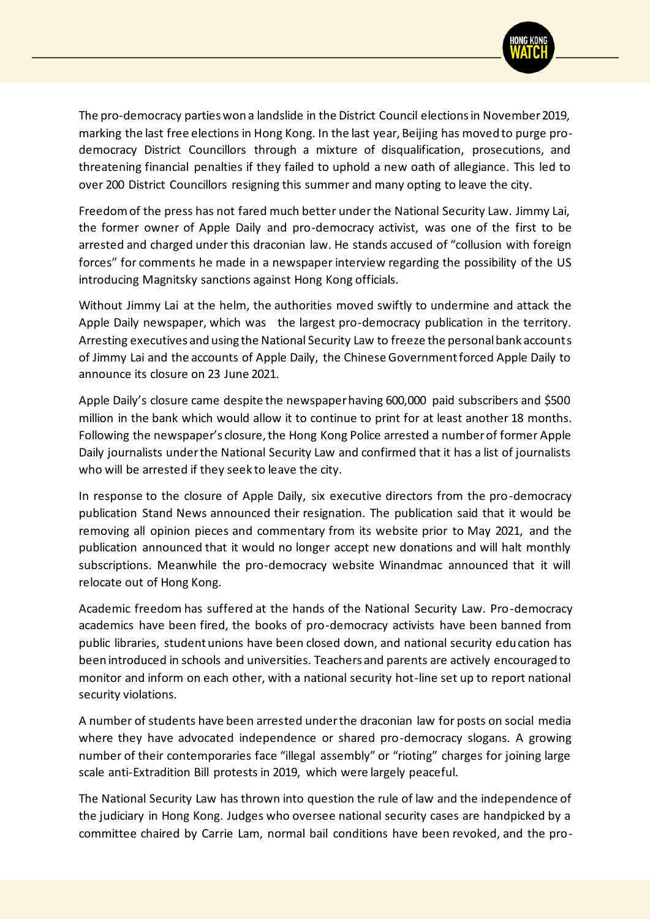

The pro-democracy parties won a landslide in the District Council elections in November 2019, marking the last free elections in Hong Kong. In the last year, Beijing has moved to purge prodemocracy District Councillors through a mixture of disqualification, prosecutions, and threatening financial penalties if they failed to uphold a new oath of allegiance. This led to over 200 District Councillors resigning this summer and many opting to leave the city.

Freedom of the press has not fared much better under the National Security Law. Jimmy Lai, the former owner of Apple Daily and pro-democracy activist, was one of the first to be arrested and charged under this draconian law. He stands accused of "collusion with foreign forces" for comments he made in a newspaper interview regarding the possibility of the US introducing Magnitsky sanctions against Hong Kong officials.

Without Jimmy Lai at the helm, the authorities moved swiftly to undermine and attack the Apple Daily newspaper, which was the largest pro-democracy publication in the territory. Arresting executives and using the National Security Law to freeze the personal bank accounts of Jimmy Lai and the accounts of Apple Daily, the Chinese Government forced Apple Daily to announce its closure on 23 June 2021.

Apple Daily's closure came despite the newspaper having 600,000 paid subscribers and \$500 million in the bank which would allow it to continue to print for at least another 18 months. Following the newspaper's closure, the Hong Kong Police arrested a number of former Apple Daily journalists under the National Security Law and confirmed that it has a list of journalists who will be arrested if they seek to leave the city.

In response to the closure of Apple Daily, six executive directors from the pro-democracy publication Stand News announced their resignation. The publication said that it would be removing all opinion pieces and commentary from its website prior to May 2021, and the publication announced that it would no longer accept new donations and will halt monthly subscriptions. Meanwhile the pro-democracy website Winandmac announced that it will relocate out of Hong Kong.

Academic freedom has suffered at the hands of the National Security Law. Pro-democracy academics have been fired, the books of pro-democracy activists have been banned from public libraries, student unions have been closed down, and national security education has been introduced in schools and universities. Teachers and parents are actively encouraged to monitor and inform on each other, with a national security hot-line set up to report national security violations.

A number of students have been arrested under the draconian law for posts on social media where they have advocated independence or shared pro-democracy slogans. A growing number of their contemporaries face "illegal assembly" or "rioting" charges for joining large scale anti-Extradition Bill protests in 2019, which were largely peaceful.

The National Security Law has thrown into question the rule of law and the independence of the judiciary in Hong Kong. Judges who oversee national security cases are handpicked by a committee chaired by Carrie Lam, normal bail conditions have been revoked, and the pro-